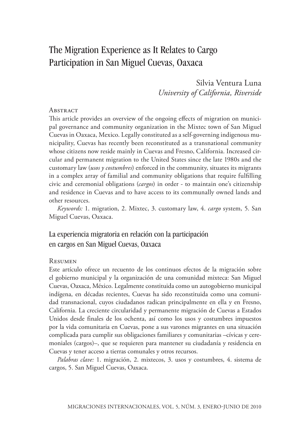# The Migration Experience as It Relates to Cargo Participation in San Miguel Cuevas, Oaxaca

# Silvia Ventura Luna *University of California, Riverside*

#### **Abstract**

This article provides an overview of the ongoing effects of migration on municipal governance and community organization in the Mixtec town of San Miguel Cuevas in Oaxaca, Mexico. Legally constituted as a self-governing indigenous municipality, Cuevas has recently been reconstituted as a transnational community whose citizens now reside mainly in Cuevas and Fresno, California. Increased circular and permanent migration to the United States since the late 1980s and the customary law (*usos y costumbres*) enforced in the community, situates its migrants in a complex array of familial and community obligations that require fulfilling civic and ceremonial obligations (*cargos*) in order - to maintain one's citizenship and residence in Cuevas and to have access to its communally owned lands and other resources.

*Keywords:* 1. migration, 2. Mixtec, 3. customary law, 4. *cargo* system, 5. San Miguel Cuevas, Oaxaca.

#### La experiencia migratoria en relación con la participación en cargos en San Miguel Cuevas, Oaxaca

#### Resumen

Este artículo ofrece un recuento de los continuos efectos de la migración sobre el gobierno municipal y la organización de una comunidad mixteca: San Miguel Cuevas, Oaxaca, México. Legalmente constituida como un autogobierno municipal indígena, en décadas recientes, Cuevas ha sido reconstituida como una comunidad transnacional, cuyos ciudadanos radican principalmente en ella y en Fresno, California. La creciente circularidad y permanente migración de Cuevas a Estados Unidos desde finales de los ochenta, así como los usos y costumbres impuestos por la vida comunitaria en Cuevas, pone a sus varones migrantes en una situación complicada para cumplir sus obligaciones familiares y comunitarias –cívicas y ceremoniales (cargos)–, que se requieren para mantener su ciudadanía y residencia en Cuevas y tener acceso a tierras comunales y otros recursos.

*Palabras clave:* 1. migración, 2. mixtecos, 3. usos y costumbres, 4. sistema de cargos, 5. San Miguel Cuevas, Oaxaca.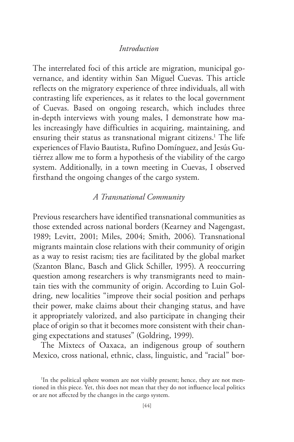#### *Introduction*

The interrelated foci of this article are migration, municipal governance, and identity within San Miguel Cuevas. This article reflects on the migratory experience of three individuals, all with contrasting life experiences, as it relates to the local government of Cuevas. Based on ongoing research, which includes three in-depth interviews with young males, I demonstrate how males increasingly have difficulties in acquiring, maintaining, and ensuring their status as transnational migrant citizens.<sup>1</sup> The life experiences of Flavio Bautista, Rufino Domínguez, and Jesús Gutiérrez allow me to form a hypothesis of the viability of the cargo system. Additionally, in a town meeting in Cuevas, I observed firsthand the ongoing changes of the cargo system.

### *A Transnational Community*

Previous researchers have identified transnational communities as those extended across national borders (Kearney and Nagengast, 1989; Levitt, 2001; Miles, 2004; Smith, 2006). Transnational migrants maintain close relations with their community of origin as a way to resist racism; ties are facilitated by the global market (Szanton Blanc, Basch and Glick Schiller, 1995). A reoccurring question among researchers is why transmigrants need to maintain ties with the community of origin. According to Luin Goldring, new localities "improve their social position and perhaps their power, make claims about their changing status, and have it appropriately valorized, and also participate in changing their place of origin so that it becomes more consistent with their changing expectations and statuses" (Goldring, 1999).

The Mixtecs of Oaxaca, an indigenous group of southern Mexico, cross national, ethnic, class, linguistic, and "racial" bor-

<sup>1</sup> In the political sphere women are not visibly present; hence, they are not mentioned in this piece. Yet, this does not mean that they do not influence local politics or are not affected by the changes in the cargo system.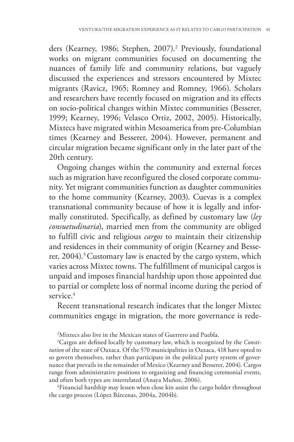ders (Kearney, 1986; Stephen, 2007).2 Previously, foundational works on migrant communities focused on documenting the nuances of family life and community relations, but vaguely discussed the experiences and stressors encountered by Mixtec migrants (Ravicz, 1965; Romney and Romney, 1966). Scholars and researchers have recently focused on migration and its effects on socio-political changes within Mixtec communities (Besserer, 1999; Kearney, 1996; Velasco Ortiz, 2002, 2005). Historically, Mixtecs have migrated within Mesoamerica from pre-Columbian times (Kearney and Besserer, 2004). However, permanent and circular migration became significant only in the later part of the 20th century.

Ongoing changes within the community and external forces such as migration have reconfigured the closed corporate community. Yet migrant communities function as daughter communities to the home community (Kearney, 2003). Cuevas is a complex transnational community because of how it is legally and informally constituted. Specifically, as defined by customary law (*ley consuetudinaria*), married men from the community are obliged to fulfill civic and religious *cargos* to maintain their citizenship and residences in their community of origin (Kearney and Besserer, 2004).<sup>3</sup> Customary law is enacted by the cargo system, which varies across Mixtec towns. The fulfillment of municipal cargos is unpaid and imposes financial hardship upon those appointed due to partial or complete loss of normal income during the period of service.<sup>4</sup>

Recent transnational research indicates that the longer Mixtec communities engage in migration, the more governance is rede-

2 Mixtecs also live in the Mexican states of Guerrero and Puebla.

3 Cargos are defined locally by customary law, which is recognized by the *Constitution* of the state of Oaxaca. Of the 570 municipalities in Oaxaca, 418 have opted to so govern themselves, rather than participate in the political party system of governance that prevails in the remainder of Mexico (Kearney and Besserer, 2004). Cargos range from administrative positions to organizing and financing ceremonial events, and often both types are interrelated (Anaya Muñoz, 2006).

4 Financial hardship may lessen when close kin assist the cargo holder throughout the cargo process (López Bárcenas, 2004a, 2004b).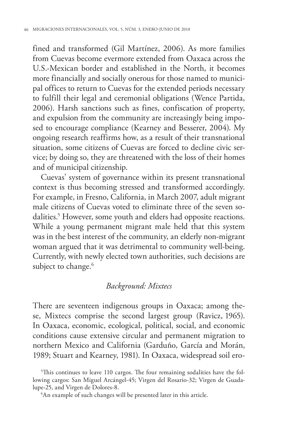fined and transformed (Gil Martínez, 2006). As more families from Cuevas become evermore extended from Oaxaca across the U.S.-Mexican border and established in the North, it becomes more financially and socially onerous for those named to municipal offices to return to Cuevas for the extended periods necessary to fulfill their legal and ceremonial obligations (Wence Partida, 2006). Harsh sanctions such as fines, confiscation of property, and expulsion from the community are increasingly being imposed to encourage compliance (Kearney and Besserer, 2004). My ongoing research reaffirms how, as a result of their transnational situation, some citizens of Cuevas are forced to decline civic service; by doing so, they are threatened with the loss of their homes and of municipal citizenship.

Cuevas' system of governance within its present transnational context is thus becoming stressed and transformed accordingly. For example, in Fresno, California, in March 2007, adult migrant male citizens of Cuevas voted to eliminate three of the seven sodalities.5 However, some youth and elders had opposite reactions. While a young permanent migrant male held that this system was in the best interest of the community, an elderly non-migrant woman argued that it was detrimental to community well-being. Currently, with newly elected town authorities, such decisions are subject to change.<sup>6</sup>

## *Background: Mixtecs*

There are seventeen indigenous groups in Oaxaca; among these, Mixtecs comprise the second largest group (Ravicz, 1965). In Oaxaca, economic, ecological, political, social, and economic conditions cause extensive circular and permanent migration to northern Mexico and California (Garduño, García and Morán, 1989; Stuart and Kearney, 1981). In Oaxaca, widespread soil ero-

<sup>5</sup> This continues to leave 110 cargos. The four remaining sodalities have the following cargos: San Miguel Arcángel-45; Virgen del Rosario-32; Virgen de Guadalupe-25, and Virgen de Dolores-8.

<sup>6</sup> An example of such changes will be presented later in this article.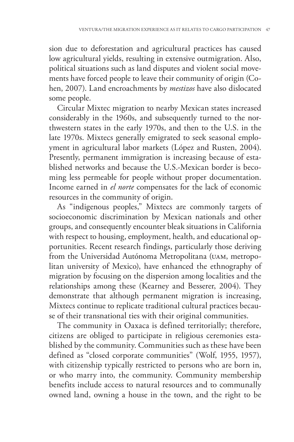sion due to deforestation and agricultural practices has caused low agricultural yields, resulting in extensive outmigration. Also, political situations such as land disputes and violent social movements have forced people to leave their community of origin (Cohen, 2007). Land encroachments by *mestizos* have also dislocated some people.

Circular Mixtec migration to nearby Mexican states increased considerably in the 1960s, and subsequently turned to the northwestern states in the early 1970s, and then to the U.S. in the late 1970s. Mixtecs generally emigrated to seek seasonal employment in agricultural labor markets (López and Rusten, 2004). Presently, permanent immigration is increasing because of established networks and because the U.S.-Mexican border is becoming less permeable for people without proper documentation. Income earned in *el norte* compensates for the lack of economic resources in the community of origin.

As "indigenous peoples," Mixtecs are commonly targets of socioeconomic discrimination by Mexican nationals and other groups, and consequently encounter bleak situations in California with respect to housing, employment, health, and educational opportunities. Recent research findings, particularly those deriving from the Universidad Autónoma Metropolitana (uam, metropolitan university of Mexico), have enhanced the ethnography of migration by focusing on the dispersion among localities and the relationships among these (Kearney and Besserer, 2004). They demonstrate that although permanent migration is increasing, Mixtecs continue to replicate traditional cultural practices because of their transnational ties with their original communities.

The community in Oaxaca is defined territorially; therefore, citizens are obliged to participate in religious ceremonies established by the community. Communities such as these have been defined as "closed corporate communities" (Wolf, 1955, 1957), with citizenship typically restricted to persons who are born in, or who marry into, the community. Community membership benefits include access to natural resources and to communally owned land, owning a house in the town, and the right to be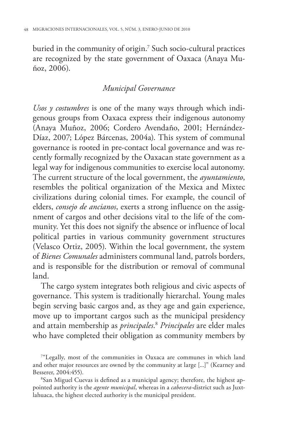buried in the community of origin.7 Such socio-cultural practices are recognized by the state government of Oaxaca (Anaya Muñoz, 2006).

#### *Municipal Governance*

*Usos y costumbres* is one of the many ways through which indigenous groups from Oaxaca express their indigenous autonomy (Anaya Muñoz, 2006; Cordero Avendaño, 2001; Hernández-Díaz, 2007; López Bárcenas, 2004a). This system of communal governance is rooted in pre-contact local governance and was recently formally recognized by the Oaxacan state government as a legal way for indigenous communities to exercise local autonomy. The current structure of the local government, the *ayuntamiento*, resembles the political organization of the Mexica and Mixtec civilizations during colonial times. For example, the council of elders, *consejo de ancianos*, exerts a strong influence on the assignment of cargos and other decisions vital to the life of the community. Yet this does not signify the absence or influence of local political parties in various community government structures (Velasco Ortiz, 2005). Within the local government, the system of *Bienes Comunales* administers communal land, patrols borders, and is responsible for the distribution or removal of communal land.

The cargo system integrates both religious and civic aspects of governance. This system is traditionally hierarchal. Young males begin serving basic cargos and, as they age and gain experience, move up to important cargos such as the municipal presidency and attain membership as *principales*. <sup>8</sup> *Principales* are elder males who have completed their obligation as community members by

8 San Miguel Cuevas is defined as a municipal agency; therefore, the highest appointed authority is the *agente municipal*, whereas in a *cabecera*-district such as Juxtlahuaca, the highest elected authority is the municipal president.

<sup>7</sup> "Legally, most of the communities in Oaxaca are communes in which land and other major resources are owned by the community at large [...]" (Kearney and Besserer, 2004:455).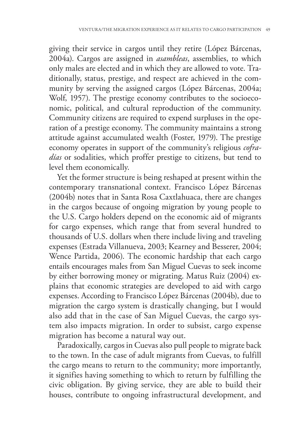giving their service in cargos until they retire (López Bárcenas, 2004a). Cargos are assigned in *asambleas*, assemblies, to which only males are elected and in which they are allowed to vote. Traditionally, status, prestige, and respect are achieved in the community by serving the assigned cargos (López Bárcenas, 2004a; Wolf, 1957). The prestige economy contributes to the socioeconomic, political, and cultural reproduction of the community. Community citizens are required to expend surpluses in the operation of a prestige economy. The community maintains a strong attitude against accumulated wealth (Foster, 1979). The prestige economy operates in support of the community's religious *cofradías* or sodalities, which proffer prestige to citizens, but tend to level them economically.

Yet the former structure is being reshaped at present within the contemporary transnational context. Francisco López Bárcenas (2004b) notes that in Santa Rosa Caxtlahuaca, there are changes in the cargos because of ongoing migration by young people to the U.S. Cargo holders depend on the economic aid of migrants for cargo expenses, which range that from several hundred to thousands of U.S. dollars when there include living and traveling expenses (Estrada Villanueva, 2003; Kearney and Besserer, 2004; Wence Partida, 2006). The economic hardship that each cargo entails encourages males from San Miguel Cuevas to seek income by either borrowing money or migrating. Matus Ruiz (2004) explains that economic strategies are developed to aid with cargo expenses. According to Francisco López Bárcenas (2004b), due to migration the cargo system is drastically changing, but I would also add that in the case of San Miguel Cuevas, the cargo system also impacts migration. In order to subsist, cargo expense migration has become a natural way out.

Paradoxically, cargos in Cuevas also pull people to migrate back to the town. In the case of adult migrants from Cuevas, to fulfill the cargo means to return to the community; more importantly, it signifies having something to which to return by fulfilling the civic obligation. By giving service, they are able to build their houses, contribute to ongoing infrastructural development, and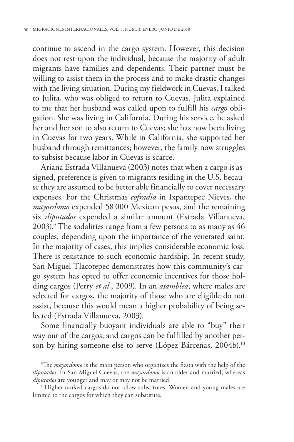continue to ascend in the cargo system. However, this decision does not rest upon the individual, because the majority of adult migrants have families and dependents. Their partner must be willing to assist them in the process and to make drastic changes with the living situation. During my fieldwork in Cuevas, I talked to Julita, who was obliged to return to Cuevas. Julita explained to me that her husband was called upon to fulfill his *cargo* obligation. She was living in California. During his service, he asked her and her son to also return to Cuevas; she has now been living in Cuevas for two years. While in California, she supported her husband through remittances; however, the family now struggles to subsist because labor in Cuevas is scarce.

Ariana Estrada Villanueva (2003) notes that when a cargo is assigned, preference is given to migrants residing in the U.S. because they are assumed to be better able financially to cover necessary expenses. For the Christmas *cofradía* in Ixpantepec Nieves, the *mayordomo* expended 58 000 Mexican pesos, and the remaining six *diputados* expended a similar amount (Estrada Villanueva, 2003). $^9$  The sodalities range from a few persons to as many as  $46$ couples, depending upon the importance of the venerated saint. In the majority of cases, this implies considerable economic loss. There is resistance to such economic hardship. In recent study, San Miguel Tlacotepec demonstrates how this community's cargo system has opted to offer economic incentives for those holding cargos (Perry *et al.*, 2009). In an *asamblea*, where males are selected for cargos, the majority of those who are eligible do not assist, because this would mean a higher probability of being selected (Estrada Villanueva, 2003).

Some financially buoyant individuals are able to "buy" their way out of the cargos, and cargos can be fulfilled by another person by hiring someone else to serve (López Bárcenas, 2004b).<sup>10</sup>

<sup>10</sup>Higher ranked cargos do not allow substitutes. Women and young males are limited to the cargos for which they can substitute.

<sup>9</sup> The *mayordomo* is the main person who organizes the fiesta with the help of the *diputados*. In San Miguel Cuevas, the *mayordomo* is an older and married, whereas *diputados* are younger and may or may not be married.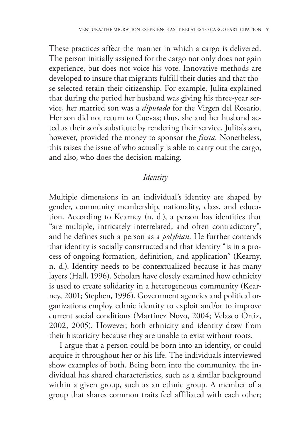These practices affect the manner in which a cargo is delivered. The person initially assigned for the cargo not only does not gain experience, but does not voice his vote. Innovative methods are developed to insure that migrants fulfill their duties and that those selected retain their citizenship. For example, Julita explained that during the period her husband was giving his three-year service, her married son was a *diputado* for the Virgen del Rosario. Her son did not return to Cuevas; thus, she and her husband acted as their son's substitute by rendering their service. Julita's son, however, provided the money to sponsor the *fiesta.* Nonetheless, this raises the issue of who actually is able to carry out the cargo, and also, who does the decision-making.

## *Identity*

Multiple dimensions in an individual's identity are shaped by gender, community membership, nationality, class, and education. According to Kearney (n. d.), a person has identities that "are multiple, intricately interrelated, and often contradictory", and he defines such a person as a *polybian*. He further contends that identity is socially constructed and that identity "is in a process of ongoing formation, definition, and application" (Kearny, n. d.). Identity needs to be contextualized because it has many layers (Hall, 1996). Scholars have closely examined how ethnicity is used to create solidarity in a heterogeneous community (Kearney, 2001; Stephen, 1996). Government agencies and political organizations employ ethnic identity to exploit and/or to improve current social conditions (Martínez Novo, 2004; Velasco Ortiz, 2002, 2005). However, both ethnicity and identity draw from their historicity because they are unable to exist without roots.

I argue that a person could be born into an identity, or could acquire it throughout her or his life. The individuals interviewed show examples of both. Being born into the community, the individual has shared characteristics, such as a similar background within a given group, such as an ethnic group. A member of a group that shares common traits feel affiliated with each other;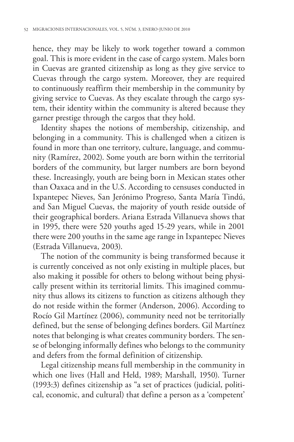hence, they may be likely to work together toward a common goal. This is more evident in the case of cargo system. Males born in Cuevas are granted citizenship as long as they give service to Cuevas through the cargo system. Moreover, they are required to continuously reaffirm their membership in the community by giving service to Cuevas. As they escalate through the cargo system, their identity within the community is altered because they garner prestige through the cargos that they hold.

Identity shapes the notions of membership, citizenship, and belonging in a community. This is challenged when a citizen is found in more than one territory, culture, language, and community (Ramírez, 2002). Some youth are born within the territorial borders of the community, but larger numbers are born beyond these. Increasingly, youth are being born in Mexican states other than Oaxaca and in the U.S. According to censuses conducted in Ixpantepec Nieves, San Jerónimo Progreso, Santa María Tindú, and San Miguel Cuevas, the majority of youth reside outside of their geographical borders. Ariana Estrada Villanueva shows that in 1995, there were 520 youths aged 15-29 years, while in 2001 there were 200 youths in the same age range in Ixpantepec Nieves (Estrada Villanueva, 2003).

The notion of the community is being transformed because it is currently conceived as not only existing in multiple places, but also making it possible for others to belong without being physically present within its territorial limits. This imagined community thus allows its citizens to function as citizens although they do not reside within the former (Anderson, 2006). According to Rocío Gil Martínez (2006), community need not be territorially defined, but the sense of belonging defines borders. Gil Martínez notes that belonging is what creates community borders. The sense of belonging informally defines who belongs to the community and defers from the formal definition of citizenship.

Legal citizenship means full membership in the community in which one lives (Hall and Held, 1989; Marshall, 1950). Turner (1993:3) defines citizenship as "a set of practices (judicial, political, economic, and cultural) that define a person as a 'competent'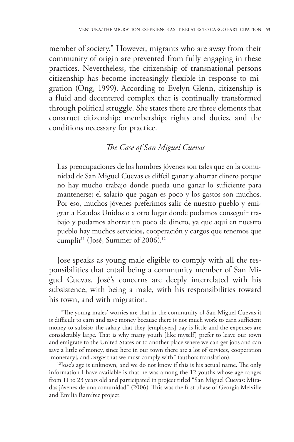member of society." However, migrants who are away from their community of origin are prevented from fully engaging in these practices. Nevertheless, the citizenship of transnational persons citizenship has become increasingly flexible in response to migration (Ong, 1999). According to Evelyn Glenn, citizenship is a fluid and decentered complex that is continually transformed through political struggle. She states there are three elements that construct citizenship: membership; rights and duties, and the conditions necessary for practice.

# *The Case of San Miguel Cuevas*

Las preocupaciones de los hombres jóvenes son tales que en la comunidad de San Miguel Cuevas es difícil ganar y ahorrar dinero porque no hay mucho trabajo donde pueda uno ganar lo suficiente para mantenerse; el salario que pagan es poco y los gastos son muchos. Por eso, muchos jóvenes preferimos salir de nuestro pueblo y emigrar a Estados Unidos o a otro lugar donde podamos conseguir trabajo y podamos ahorrar un poco de dinero, ya que aquí en nuestro pueblo hay muchos servicios, cooperación y cargos que tenemos que cumplir<sup>11</sup> (José, Summer of 2006).<sup>12</sup>

Jose speaks as young male eligible to comply with all the responsibilities that entail being a community member of San Miguel Cuevas. José's concerns are deeply interrelated with his subsistence, with being a male, with his responsibilities toward his town, and with migration.

<sup>11"</sup>The young males' worries are that in the community of San Miguel Cuevas it is difficult to earn and save money because there is not much work to earn sufficient money to subsist; the salary that they [employers] pay is little and the expenses are considerably large. That is why many youth [like myself] prefer to leave our town and emigrate to the United States or to another place where we can get jobs and can save a little of money, since here in our town there are a lot of services, cooperation [monetary], and *cargos* that we must comply with" (authors translation).

<sup>12</sup>Jose's age is unknown, and we do not know if this is his actual name. The only information I have available is that he was among the 12 youths whose age ranges from 11 to 23 years old and participated in project titled "San Miguel Cuevas: Miradas jóvenes de una comunidad" (2006). This was the first phase of Georgia Melville and Emilia Ramírez project.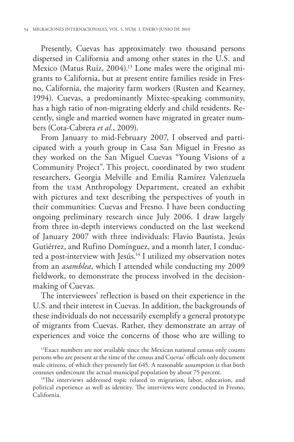Presently, Cuevas has approximately two thousand persons dispersed in California and among other states in the U.S. and Mexico (Matus Ruiz, 2004).13 Lone males were the original migrants to California, but at present entire families reside in Fresno, California, the majority farm workers (Rusten and Kearney, 1994). Cuevas, a predominantly Mixtec-speaking community, has a high ratio of non-migrating elderly and child residents. Recently, single and married women have migrated in greater numbers (Cota-Cabrera *et al.*, 2009).

From January to mid-February 2007, I observed and participated with a youth group in Casa San Miguel in Fresno as they worked on the San Miguel Cuevas "Young Visions of a Community Project". This project, coordinated by two student researchers, Georgia Melville and Emilia Ramírez Valenzuela from the uam Anthropology Department, created an exhibit with pictures and text describing the perspectives of youth in their communities: Cuevas and Fresno. I have been conducting ongoing preliminary research since July 2006. I draw largely from three in-depth interviews conducted on the last weekend of January 2007 with three individuals: Flavio Bautista, Jesús Gutiérrez, and Rufino Domínguez, and a month later, I conducted a post-interview with Jesús.<sup>14</sup> I utilized my observation notes from an *asamblea*, which I attended while conducting my 2009 fieldwork, to demonstrate the process involved in the decisionmaking of Cuevas.

The interviewees' reflection is based on their experience in the U.S. and their interest in Cuevas. In addition, the backgrounds of these individuals do not necessarily exemplify a general prototype of migrants from Cuevas. Rather, they demonstrate an array of experiences and voice the concerns of those who are willing to

<sup>13</sup>Exact numbers are not available since the Mexican national census only counts persons who are present at the time of the census and Cuevas' officials only document male citizens, of which they presently list 645. A reasonable assumption is that both censuses undercount the actual municipal population by about 75 percent.

<sup>14</sup>The interviews addressed topic related to migration, labor, education, and political experience as well as identity. The interviews were conducted in Fresno, California.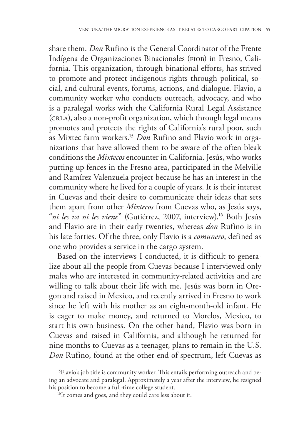share them. *Don* Rufino is the General Coordinator of the Frente Indígena de Organizaciones Binacionales (fiob) in Fresno, California. This organization, through binational efforts, has strived to promote and protect indigenous rights through political, social, and cultural events, forums, actions, and dialogue. Flavio, a community worker who conducts outreach, advocacy, and who is a paralegal works with the California Rural Legal Assistance (crla), also a non-profit organization, which through legal means promotes and protects the rights of California's rural poor, such as Mixtec farm workers.15 *Don* Rufino and Flavio work in organizations that have allowed them to be aware of the often bleak conditions the *Mixtecos* encounter in California. Jesús, who works putting up fences in the Fresno area, participated in the Melville and Ramírez Valenzuela project because he has an interest in the community where he lived for a couple of years. It is their interest in Cuevas and their desire to communicate their ideas that sets them apart from other *Mixtecos* from Cuevas who, as Jesús says, "ni les va ni les viene" (Gutiérrez, 2007, interview).<sup>16</sup> Both Jesús and Flavio are in their early twenties, whereas *don* Rufino is in his late forties. Of the three, only Flavio is a *comunero*, defined as one who provides a service in the cargo system.

Based on the interviews I conducted, it is difficult to generalize about all the people from Cuevas because I interviewed only males who are interested in community-related activities and are willing to talk about their life with me. Jesús was born in Oregon and raised in Mexico, and recently arrived in Fresno to work since he left with his mother as an eight-month-old infant. He is eager to make money, and returned to Morelos, Mexico, to start his own business. On the other hand, Flavio was born in Cuevas and raised in California, and although he returned for nine months to Cuevas as a teenager, plans to remain in the U.S. *Don* Rufino, found at the other end of spectrum, left Cuevas as

<sup>&</sup>lt;sup>15</sup>Flavio's job title is community worker. This entails performing outreach and being an advocate and paralegal. Approximately a year after the interview, he resigned his position to become a full-time college student.

<sup>&</sup>lt;sup>16</sup>It comes and goes, and they could care less about it.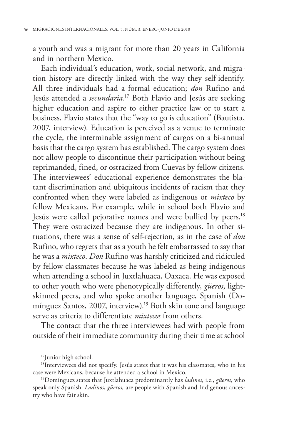a youth and was a migrant for more than 20 years in California and in northern Mexico.

Each individual's education, work, social network, and migration history are directly linked with the way they self-identify. All three individuals had a formal education; *don* Rufino and Jesús attended a *secundaria*. 17 Both Flavio and Jesús are seeking higher education and aspire to either practice law or to start a business. Flavio states that the "way to go is education" (Bautista, 2007, interview). Education is perceived as a venue to terminate the cycle, the interminable assignment of cargos on a bi-annual basis that the cargo system has established. The cargo system does not allow people to discontinue their participation without being reprimanded, fined, or ostracized from Cuevas by fellow citizens. The interviewees' educational experience demonstrates the blatant discrimination and ubiquitous incidents of racism that they confronted when they were labeled as indigenous or *mixteco* by fellow Mexicans. For example, while in school both Flavio and Jesús were called pejorative names and were bullied by peers.<sup>18</sup> They were ostracized because they are indigenous. In other situations, there was a sense of self-rejection, as in the case of *don* Rufino, who regrets that as a youth he felt embarrassed to say that he was a *mixteco*. *Don* Rufino was harshly criticized and ridiculed by fellow classmates because he was labeled as being indigenous when attending a school in Juxtlahuaca, Oaxaca. He was exposed to other youth who were phenotypically differently, *güeros*, lightskinned peers, and who spoke another language, Spanish (Domínguez Santos, 2007, interview).<sup>19</sup> Both skin tone and language serve as criteria to differentiate *mixtecos* from others.

The contact that the three interviewees had with people from outside of their immediate community during their time at school

17Junior high school.

<sup>18</sup>Interviewees did not specify. Jesús states that it was his classmates, who in his case were Mexicans, because he attended a school in Mexico.

19Domínguez states that Juxtlahuaca predominantly has *ladinos*, i.e., *güeros*, who speak only Spanish. *Ladinos*, *güeros,* are people with Spanish and Indigenous ancestry who have fair skin.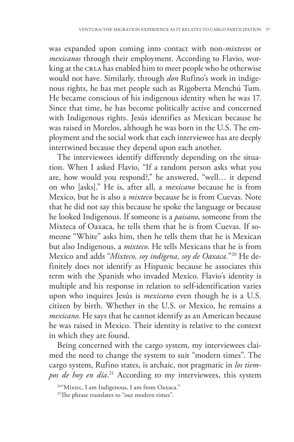was expanded upon coming into contact with non-*mixtecos* or *mexicanos* through their employment. According to Flavio, working at the CRLA has enabled him to meet people who he otherwise would not have. Similarly, through *don* Rufino's work in indigenous rights, he has met people such as Rigoberta Menchú Tum. He became conscious of his indigenous identity when he was 17. Since that time, he has become politically active and concerned with Indigenous rights. Jesús identifies as Mexican because he was raised in Morelos, although he was born in the U.S. The employment and the social work that each interviewee has are deeply intertwined because they depend upon each another.

The interviewees identify differently depending on the situation. When I asked Flavio, "If a random person asks what you are, how would you respond?," he answered, "well… it depend on who [asks]." He is, after all, a *mexicano* because he is from Mexico, but he is also a *mixteco* because he is from Cuevas. Note that he did not say this because he spoke the language or because he looked Indigenous. If someone is a *paisano*, someone from the Mixteca of Oaxaca, he tells them that he is from Cuevas. If someone "White" asks him, then he tells them that he is Mexican but also Indigenous, a *mixteco*. He tells Mexicans that he is from Mexico and adds "*Mixteco, soy indígena, soy de Oaxaca.*"20 He definitely does not identify as Hispanic because he associates this term with the Spanish who invaded Mexico. Flavio's identity is multiple and his response in relation to self-identification varies upon who inquires Jesús is *mexicano* even though he is a U.S. citizen by birth. Whether in the U.S. or Mexico, he remains a *mexicano*. He says that he cannot identify as an American because he was raised in Mexico. Their identity is relative to the context in which they are found.

Being concerned with the cargo system, my interviewees claimed the need to change the system to suit "modern times". The cargo system, Rufino states, is archaic, not pragmatic in *los tiempos de hoy en día*. 21 According to my interviewees, this system

<sup>20&</sup>quot;Mixtec, I am Indigenous, I am from Oaxaca."

<sup>&</sup>lt;sup>21</sup>The phrase translates to "our modern times".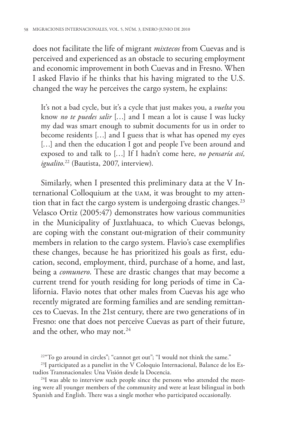does not facilitate the life of migrant *mixtecos* from Cuevas and is perceived and experienced as an obstacle to securing employment and economic improvement in both Cuevas and in Fresno. When I asked Flavio if he thinks that his having migrated to the U.S. changed the way he perceives the cargo system, he explains:

It's not a bad cycle, but it's a cycle that just makes you, a *vuelta* you know *no te puedes salir* […] and I mean a lot is cause I was lucky my dad was smart enough to submit documents for us in order to become residents […] and I guess that is what has opened my eyes [...] and then the education I got and people I've been around and exposed to and talk to […] If I hadn't come here, *no pensaría así, igualito*. 22 (Bautista, 2007, interview).

Similarly, when I presented this preliminary data at the V International Colloquium at the uam, it was brought to my attention that in fact the cargo system is undergoing drastic changes.<sup>23</sup> Velasco Ortiz (2005:47) demonstrates how various communities in the Municipality of Juxtlahuaca, to which Cuevas belongs, are coping with the constant out-migration of their community members in relation to the cargo system. Flavio's case exemplifies these changes, because he has prioritized his goals as first, education, second, employment, third, purchase of a home, and last, being a *comunero*. These are drastic changes that may become a current trend for youth residing for long periods of time in California. Flavio notes that other males from Cuevas his age who recently migrated are forming families and are sending remittances to Cuevas. In the 21st century, there are two generations of in Fresno: one that does not perceive Cuevas as part of their future, and the other, who may not.<sup>24</sup>

 $24$ I was able to interview such people since the persons who attended the meeting were all younger members of the community and were at least bilingual in both Spanish and English. There was a single mother who participated occasionally.

<sup>&</sup>lt;sup>22"</sup>To go around in circles"; "cannot get out"; "I would not think the same."

 $23$ I participated as a panelist in the V Coloquio Internacional, Balance de los Estudios Transnacionales: Una Visión desde la Docencia.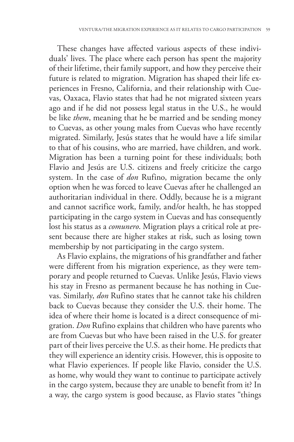These changes have affected various aspects of these individuals' lives. The place where each person has spent the majority of their lifetime, their family support, and how they perceive their future is related to migration. Migration has shaped their life experiences in Fresno, California, and their relationship with Cuevas, Oaxaca, Flavio states that had he not migrated sixteen years ago and if he did not possess legal status in the U.S., he would be like *them*, meaning that he be married and be sending money to Cuevas, as other young males from Cuevas who have recently migrated. Similarly, Jesús states that he would have a life similar to that of his cousins, who are married, have children, and work. Migration has been a turning point for these individuals; both Flavio and Jesús are U.S. citizens and freely criticize the cargo system. In the case of *don* Rufino, migration became the only option when he was forced to leave Cuevas after he challenged an authoritarian individual in there. Oddly, because he is a migrant and cannot sacrifice work, family, and/or health, he has stopped participating in the cargo system in Cuevas and has consequently lost his status as a *comunero*. Migration plays a critical role at present because there are higher stakes at risk, such as losing town membership by not participating in the cargo system.

As Flavio explains, the migrations of his grandfather and father were different from his migration experience, as they were temporary and people returned to Cuevas. Unlike Jesús, Flavio views his stay in Fresno as permanent because he has nothing in Cuevas. Similarly, *don* Rufino states that he cannot take his children back to Cuevas because they consider the U.S. their home. The idea of where their home is located is a direct consequence of migration. *Don* Rufino explains that children who have parents who are from Cuevas but who have been raised in the U.S. for greater part of their lives perceive the U.S. as their home. He predicts that they will experience an identity crisis. However, this is opposite to what Flavio experiences. If people like Flavio, consider the U.S. as home, why would they want to continue to participate actively in the cargo system, because they are unable to benefit from it? In a way, the cargo system is good because, as Flavio states "things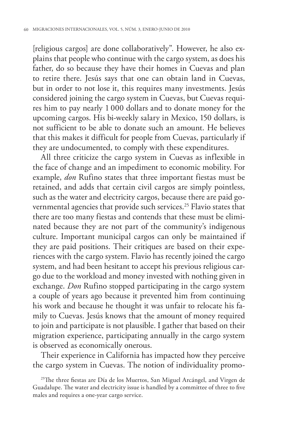[religious cargos] are done collaboratively". However, he also explains that people who continue with the cargo system, as does his father, do so because they have their homes in Cuevas and plan to retire there. Jesús says that one can obtain land in Cuevas, but in order to not lose it, this requires many investments. Jesús considered joining the cargo system in Cuevas, but Cuevas requires him to pay nearly 1 000 dollars and to donate money for the upcoming cargos. His bi-weekly salary in Mexico, 150 dollars, is not sufficient to be able to donate such an amount. He believes that this makes it difficult for people from Cuevas, particularly if they are undocumented, to comply with these expenditures.

All three criticize the cargo system in Cuevas as inflexible in the face of change and an impediment to economic mobility. For example, *don* Rufino states that three important fiestas must be retained, and adds that certain civil cargos are simply pointless, such as the water and electricity cargos, because there are paid governmental agencies that provide such services.<sup>25</sup> Flavio states that there are too many fiestas and contends that these must be eliminated because they are not part of the community's indigenous culture. Important municipal cargos can only be maintained if they are paid positions. Their critiques are based on their experiences with the cargo system. Flavio has recently joined the cargo system, and had been hesitant to accept his previous religious cargo due to the workload and money invested with nothing given in exchange. *Don* Rufino stopped participating in the cargo system a couple of years ago because it prevented him from continuing his work and because he thought it was unfair to relocate his family to Cuevas. Jesús knows that the amount of money required to join and participate is not plausible. I gather that based on their migration experience, participating annually in the cargo system is observed as economically onerous.

Their experience in California has impacted how they perceive the cargo system in Cuevas. The notion of individuality promo-

<sup>&</sup>lt;sup>25</sup>The three fiestas are Día de los Muertos, San Miguel Arcángel, and Virgen de Guadalupe. The water and electricity issue is handled by a committee of three to five males and requires a one-year cargo service.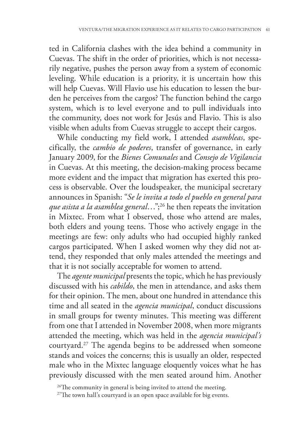ted in California clashes with the idea behind a community in Cuevas. The shift in the order of priorities, which is not necessarily negative, pushes the person away from a system of economic leveling. While education is a priority, it is uncertain how this will help Cuevas. Will Flavio use his education to lessen the burden he perceives from the cargos? The function behind the cargo system, which is to level everyone and to pull individuals into the community, does not work for Jesús and Flavio. This is also visible when adults from Cuevas struggle to accept their cargos.

While conducting my field work, I attended *asambleas*, specifically, the *cambio de poderes*, transfer of governance, in early January 2009, for the *Bienes Comunales* and *Consejo de Vigilancia* in Cuevas. At this meeting, the decision-making process became more evident and the impact that migration has exerted this process is observable. Over the loudspeaker, the municipal secretary announces in Spanish: "*Se le invita a todo el pueblo en general para que asista a la asamblea general*…";26 he then repeats the invitation in Mixtec. From what I observed, those who attend are males, both elders and young teens. Those who actively engage in the meetings are few: only adults who had occupied highly ranked cargos participated. When I asked women why they did not attend, they responded that only males attended the meetings and that it is not socially acceptable for women to attend.

The *agente municipal* presents the topic, which he has previously discussed with his *cabildo*, the men in attendance, and asks them for their opinion. The men, about one hundred in attendance this time and all seated in the *agencia municipal*, conduct discussions in small groups for twenty minutes. This meeting was different from one that I attended in November 2008, when more migrants attended the meeting, which was held in the *agencia municipal's* courtyard.27 The agenda begins to be addressed when someone stands and voices the concerns; this is usually an older, respected male who in the Mixtec language eloquently voices what he has previously discussed with the men seated around him. Another

<sup>&</sup>lt;sup>26</sup>The community in general is being invited to attend the meeting.

<sup>&</sup>lt;sup>27</sup>The town hall's courtyard is an open space available for big events.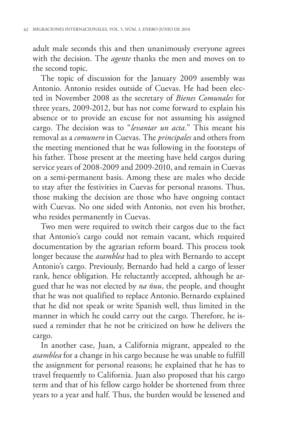adult male seconds this and then unanimously everyone agrees with the decision. The *agente* thanks the men and moves on to the second topic.

The topic of discussion for the January 2009 assembly was Antonio. Antonio resides outside of Cuevas. He had been elected in November 2008 as the secretary of *Bienes Comunales* for three years, 2009-2012, but has not come forward to explain his absence or to provide an excuse for not assuming his assigned cargo. The decision was to "*levantar un acta.*" This meant his removal as a *comunero* in Cuevas. The *principales* and others from the meeting mentioned that he was following in the footsteps of his father. Those present at the meeting have held cargos during service years of 2008-2009 and 2009-2010, and remain in Cuevas on a semi-permanent basis. Among these are males who decide to stay after the festivities in Cuevas for personal reasons. Thus, those making the decision are those who have ongoing contact with Cuevas. No one sided with Antonio, not even his brother, who resides permanently in Cuevas.

Two men were required to switch their cargos due to the fact that Antonio's cargo could not remain vacant, which required documentation by the agrarian reform board. This process took longer because the *asamblea* had to plea with Bernardo to accept Antonio's cargo. Previously, Bernardo had held a cargo of lesser rank, hence obligation. He reluctantly accepted, although he argued that he was not elected by *na ñuu*, the people, and thought that he was not qualified to replace Antonio. Bernardo explained that he did not speak or write Spanish well, thus limited in the manner in which he could carry out the cargo. Therefore, he issued a reminder that he not be criticized on how he delivers the cargo.

In another case, Juan, a California migrant, appealed to the *asamblea* for a change in his cargo because he was unable to fulfill the assignment for personal reasons; he explained that he has to travel frequently to California. Juan also proposed that his cargo term and that of his fellow cargo holder be shortened from three years to a year and half. Thus, the burden would be lessened and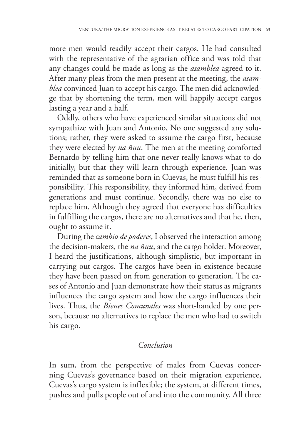more men would readily accept their cargos. He had consulted with the representative of the agrarian office and was told that any changes could be made as long as the *asamblea* agreed to it. After many pleas from the men present at the meeting, the *asamblea* convinced Juan to accept his cargo. The men did acknowledge that by shortening the term, men will happily accept cargos lasting a year and a half.

Oddly, others who have experienced similar situations did not sympathize with Juan and Antonio. No one suggested any solutions; rather, they were asked to assume the cargo first, because they were elected by *na ñuu*. The men at the meeting comforted Bernardo by telling him that one never really knows what to do initially, but that they will learn through experience. Juan was reminded that as someone born in Cuevas, he must fulfill his responsibility. This responsibility, they informed him, derived from generations and must continue. Secondly, there was no else to replace him. Although they agreed that everyone has difficulties in fulfilling the cargos, there are no alternatives and that he, then, ought to assume it.

During the *cambio de poderes*, I observed the interaction among the decision-makers, the *na ñuu*, and the cargo holder. Moreover, I heard the justifications, although simplistic, but important in carrying out cargos. The cargos have been in existence because they have been passed on from generation to generation. The cases of Antonio and Juan demonstrate how their status as migrants influences the cargo system and how the cargo influences their lives. Thus, the *Bienes Comunales* was short-handed by one person, because no alternatives to replace the men who had to switch his cargo.

## *Conclusion*

In sum, from the perspective of males from Cuevas concerning Cuevas's governance based on their migration experience, Cuevas's cargo system is inflexible; the system, at different times, pushes and pulls people out of and into the community. All three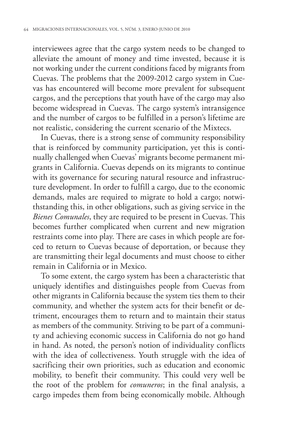interviewees agree that the cargo system needs to be changed to alleviate the amount of money and time invested, because it is not working under the current conditions faced by migrants from Cuevas. The problems that the 2009-2012 cargo system in Cuevas has encountered will become more prevalent for subsequent cargos, and the perceptions that youth have of the cargo may also become widespread in Cuevas. The cargo system's intransigence and the number of cargos to be fulfilled in a person's lifetime are not realistic, considering the current scenario of the Mixtecs.

In Cuevas, there is a strong sense of community responsibility that is reinforced by community participation, yet this is continually challenged when Cuevas' migrants become permanent migrants in California. Cuevas depends on its migrants to continue with its governance for securing natural resource and infrastructure development. In order to fulfill a cargo, due to the economic demands, males are required to migrate to hold a cargo; notwithstanding this, in other obligations, such as giving service in the *Bienes Comunales*, they are required to be present in Cuevas. This becomes further complicated when current and new migration restraints come into play. There are cases in which people are forced to return to Cuevas because of deportation, or because they are transmitting their legal documents and must choose to either remain in California or in Mexico.

To some extent, the cargo system has been a characteristic that uniquely identifies and distinguishes people from Cuevas from other migrants in California because the system ties them to their community, and whether the system acts for their benefit or detriment, encourages them to return and to maintain their status as members of the community. Striving to be part of a community and achieving economic success in California do not go hand in hand. As noted, the person's notion of individuality conflicts with the idea of collectiveness. Youth struggle with the idea of sacrificing their own priorities, such as education and economic mobility, to benefit their community. This could very well be the root of the problem for *comuneros*; in the final analysis, a cargo impedes them from being economically mobile. Although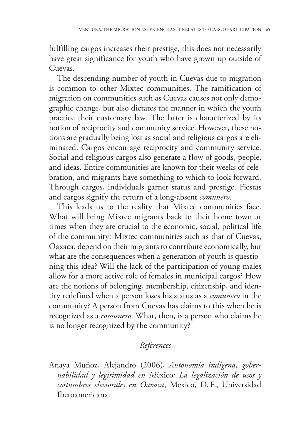fulfilling cargos increases their prestige, this does not necessarily have great significance for youth who have grown up outside of Cuevas.

The descending number of youth in Cuevas due to migration is common to other Mixtec communities. The ramification of migration on communities such as Cuevas causes not only demographic change, but also dictates the manner in which the youth practice their customary law. The latter is characterized by its notion of reciprocity and community service. However, these notions are gradually being lost as social and religious cargos are eliminated. Cargos encourage reciprocity and community service. Social and religious cargos also generate a flow of goods, people, and ideas. Entire communities are known for their weeks of celebration, and migrants have something to which to look forward. Through cargos, individuals garner status and prestige. Fiestas and cargos signify the return of a long-absent *comunero*.

This leads us to the reality that Mixtec communities face. What will bring Mixtec migrants back to their home town at times when they are crucial to the economic, social, political life of the community? Mixtec communities such as that of Cuevas, Oaxaca, depend on their migrants to contribute economically, but what are the consequences when a generation of youth is questioning this idea? Will the lack of the participation of young males allow for a more active role of females in municipal cargos? How are the notions of belonging, membership, citizenship, and identity redefined when a person loses his status as a *comunero* in the community? A person from Cuevas has claims to this when he is recognized as a *comunero*. What, then, is a person who claims he is no longer recognized by the community?

# *References*

Anaya Muñoz, Alejandro (2006), *Autonomía indígena, gobernabilidad y legitimidad en M*éxico*: La legalización de usos y costumbres electorales en Oaxaca*, Mexico, D. F., Universidad Iberoamericana.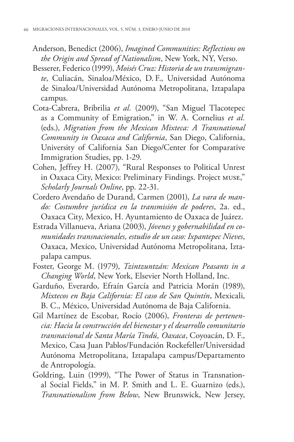- Anderson, Benedict (2006), *Imagined Communities: Reflections on the Origin and Spread of Nationalism*, New York, NY, Verso.
- Besserer, Federico (1999), *Moisés Cruz: Historia de un transmigrante*, Culiacán, Sinaloa/México, D. F., Universidad Autónoma de Sinaloa/Universidad Autónoma Metropolitana, Iztapalapa campus.
- Cota-Cabrera, Bribrilia *et al.* (2009), "San Miguel Tlacotepec as a Community of Emigration," in W. A. Cornelius *et al.* (eds.), *Migration from the Mexican Mixteca: A Transnational Community in Oaxaca and California*, San Diego, California, University of California San Diego/Center for Comparative Immigration Studies, pp. 1-29.
- Cohen, Jeffrey H. (2007), "Rural Responses to Political Unrest in Oaxaca City, Mexico: Preliminary Findings. Project muse," *Scholarly Journals Online*, pp. 22-31.
- Cordero Avendaño de Durand, Carmen (2001), *La vara de mando: Costumbre jurídica en la transmisión de poderes*, 2a. ed., Oaxaca City, Mexico, H. Ayuntamiento de Oaxaca de Juárez.
- Estrada Villanueva, Ariana (2003), *Jóvenes y gobernabilidad en comunidades transnacionales, estudio de un caso: Ixpantepec Nieves*, Oaxaca, Mexico, Universidad Autónoma Metropolitana, Iztapalapa campus.
- Foster, George M. (1979), *Tzintzuntzán: Mexican Peasants in a Changing World*, New York, Elsevier North Holland, Inc.
- Garduño, Everardo, Efraín García and Patricia Morán (1989), *Mixtecos en Baja California: El caso de San Quintín*, Mexicali, B. C., México, Universidad Autónoma de Baja California.
- Gil Martínez de Escobar, Rocío (2006), *Fronteras de pertenencia: Hacia la construcción del bienestar y el desarrollo comunitario transnacional de Santa María Tindú, Oaxaca*, Coyoacán, D. F., Mexico, Casa Juan Pablos/Fundación Rockefeller/Universidad Autónoma Metropolitana, Iztapalapa campus/Departamento de Antropología.
- Goldring, Luin (1999), "The Power of Status in Transnational Social Fields," in M. P. Smith and L. E. Guarnizo (eds.), *Transnationalism from Below*, New Brunswick, New Jersey,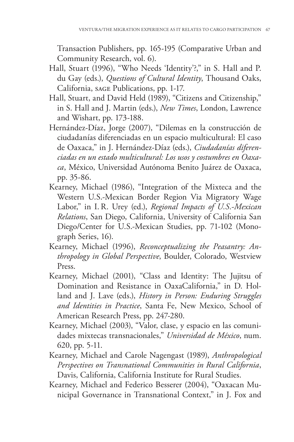Transaction Publishers, pp. 165-195 (Comparative Urban and Community Research, vol. 6).

- Hall, Stuart (1996), "Who Needs 'Identity'?," in S. Hall and P. du Gay (eds.), *Questions of Cultural Identity*, Thousand Oaks, California, sage Publications, pp. 1-17.
- Hall, Stuart, and David Held (1989), "Citizens and Citizenship," in S. Hall and J. Martin (eds.), *New Times*, London, Lawrence and Wishart, pp. 173-188.
- Hernández-Díaz, Jorge (2007), "Dilemas en la construcción de ciudadanías diferenciadas en un espacio multicultural: El caso de Oaxaca," in J. Hernández-Díaz (eds.), *Ciudadanías diferenciadas en un estado multicultural: Los usos y costumbres en Oaxaca*, México, Universidad Autónoma Benito Juárez de Oaxaca, pp. 35-86.
- Kearney, Michael (1986), "Integration of the Mixteca and the Western U.S.-Mexican Border Region Via Migratory Wage Labor," in I. R. Urey (ed.), *Regional Impacts of U.S.-Mexican Relations*, San Diego, California, University of California San Diego/Center for U.S.-Mexican Studies, pp. 71-102 (Monograph Series, 16).
- Kearney, Michael (1996), *Reconceptualizing the Peasantry: Anthropology in Global Perspective*, Boulder, Colorado, Westview Press.
- Kearney, Michael (2001), "Class and Identity: The Jujitsu of Domination and Resistance in OaxaCalifornia," in D. Holland and J. Lave (eds.), *History in Person: Enduring Struggles and Identities in Practice*, Santa Fe, New Mexico, School of American Research Press, pp. 247-280.
- Kearney, Michael (2003), "Valor, clase, y espacio en las comunidades mixtecas transnacionales," *Universidad de México*, num. 620, pp. 5-11.
- Kearney, Michael and Carole Nagengast (1989), *Anthropological Perspectives on Transnational Communities in Rural California*, Davis, California, California Institute for Rural Studies.
- Kearney, Michael and Federico Besserer (2004), "Oaxacan Municipal Governance in Transnational Context," in J. Fox and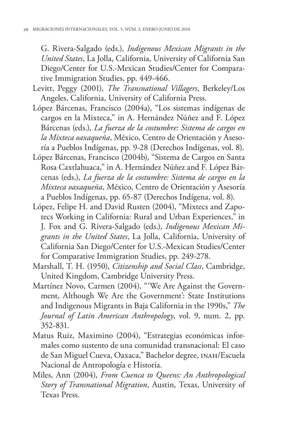G. Rivera-Salgado (eds.), *Indigenous Mexican Migrants in the United States*, La Jolla, California, University of California San Diego/Center for U.S.-Mexican Studies/Center for Comparative Immigration Studies, pp. 449-466.

- Levitt, Peggy (2001), *The Transnational Villagers*, Berkeley/Los Angeles, California, University of California Press.
- López Bárcenas, Francisco (2004a), "Los sistemas indígenas de cargos en la Mixteca," in A. Hernández Núñez and F. López Bárcenas (eds.), *La fuerza de la costumbre: Sistema de cargos en la Mixteca oaxaqueña*, México, Centro de Orientación y Asesoría a Pueblos Indígenas, pp. 9-28 (Derechos Indígenas, vol. 8).
- López Bárcenas, Francisco (2004b), "Sistema de Cargos en Santa Rosa Caxtlahuaca," in A. Hernández Núñez and F. López Bárcenas (eds.), *La fuerza de la costumbre: Sistema de cargos en la Mixteca oaxaqueña*, México, Centro de Orientación y Asesoría a Pueblos Indígenas, pp. 65-87 (Derechos Indígena, vol. 8).
- López, Felipe H. and David Rusten (2004), "Mixtecs and Zapotecs Working in California: Rural and Urban Experiences," in J. Fox and G. Rivera-Salgado (eds.), *Indigenous Mexican Migrants in the United States*, La Jolla, California, University of California San Diego/Center for U.S.-Mexican Studies/Center for Comparative Immigration Studies, pp. 249-278.
- Marshall, T. H. (1950), *Citizenship and Social Class*, Cambridge, United Kingdom, Cambridge University Press.
- Martínez Novo, Carmen (2004), "'We Are Against the Government, Although We Are the Government': State Institutions and Indigenous Migrants in Baja California in the 1990s," *The Journal of Latin American Anthropology*, vol. 9, num. 2, pp. 352-831.
- Matus Ruiz, Maximino (2004), "Estrategias económicas informales como sustento de una comunidad transnacional: El caso de San Miguel Cueva, Oaxaca," Bachelor degree, INAH/Escuela Nacional de Antropología e Historia.
- Miles, Ann (2004), *From Cuenca to Queens: An Anthropological Story of Transnational Migration*, Austin, Texas, University of Texas Press.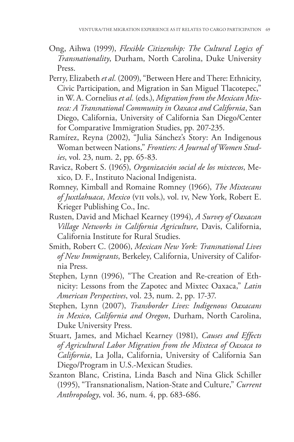- Ong, Aihwa (1999), *Flexible Citizenship: The Cultural Logics of Transnationality*, Durham, North Carolina, Duke University Press.
- Perry, Elizabeth *et al.* (2009), "Between Here and There: Ethnicity, Civic Participation, and Migration in San Miguel Tlacotepec," in W. A. Cornelius *et al.* (eds.), *Migration from the Mexican Mixteca: A Transnational Community in Oaxaca and California*, San Diego, California, University of California San Diego/Center for Comparative Immigration Studies, pp. 207-235.
- Ramírez, Reyna (2002), "Julia Sánchez's Story: An Indigenous Woman between Nations," *Frontiers: A Journal of Women Studies*, vol. 23, num. 2, pp. 65-83.
- Ravicz, Robert S. (1965), *Organización social de los mixtecos*, Mexico, D. F., Instituto Nacional Indigenista.
- Romney, Kimball and Romaine Romney (1966), *The Mixtecans of Juxtlahuaca, Mexico* (vii vols.), vol. iv, New York, Robert E. Krieger Publishing Co., Inc.
- Rusten, David and Michael Kearney (1994), *A Survey of Oaxacan Village Networks in California Agriculture*, Davis, California, California Institute for Rural Studies.
- Smith, Robert C. (2006), *Mexican New York: Transnational Lives of New Immigrants*, Berkeley, California, University of California Press.
- Stephen, Lynn (1996), "The Creation and Re-creation of Ethnicity: Lessons from the Zapotec and Mixtec Oaxaca," *Latin American Perspectives*, vol. 23, num. 2, pp. 17-37.
- Stephen, Lynn (2007), *Transborder Lives: Indigenous Oaxacans in Mexico*, *California and Oregon*, Durham, North Carolina, Duke University Press.
- Stuart, James, and Michael Kearney (1981), *Causes and Effects of Agricultural Labor Migration from the Mixteca of Oaxaca to California*, La Jolla, California, University of California San Diego/Program in U.S.-Mexican Studies.
- Szanton Blanc, Cristina, Linda Basch and Nina Glick Schiller (1995), "Transnationalism, Nation-State and Culture," *Current Anthropology*, vol. 36, num. 4, pp. 683-686.